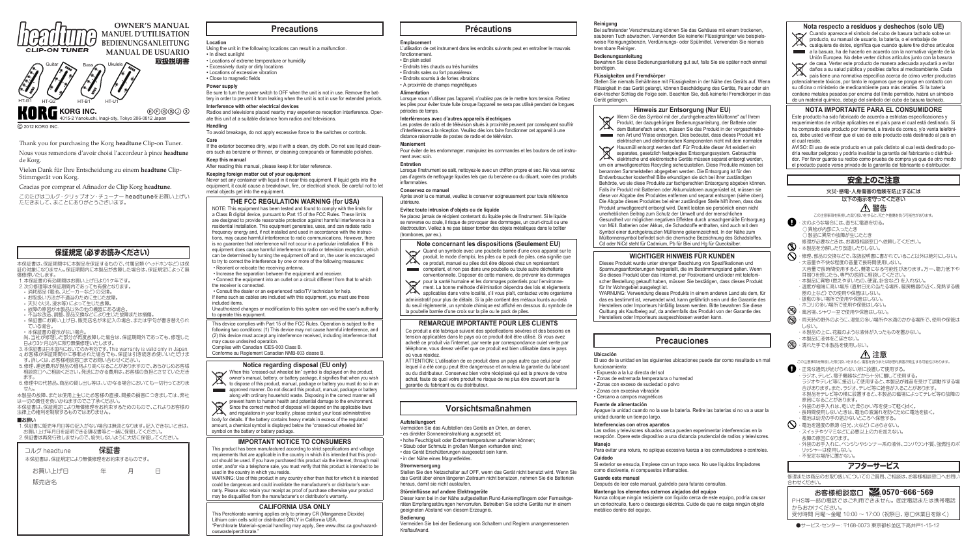# **Precautions**

Using the unit in the following locations can result in a malfunction. • In direct sunlight

- Locations of extreme temperature or humidity
- Excessively dusty or dirty locations • Locations of excessive vibration
- • Close to magnetic fields

#### **Power supply**

Be sure to turn the power switch to OFF when the unit is not in use. Remove the battery in order to prevent it from leaking when the unit is not in use for extended periods.

## If the exterior becomes dirty, wipe it with a clean, dry cloth. Do not use liquid cleaners such as benzene or thinner, or cleaning compounds or flammable polishes.

#### **Interference with other electrical devices**

Radios and televisions placed nearby may experience reception interference. Operate this unit at a suitable distance from radios and televisions.

## **Handling**

To avoid breakage, do not apply excessive force to the switches or controls. **Care**

**Keep this manual** After reading this manual, please keep it for later reference.

# **Keeping foreign matter out of your equipment**

Never set any container with liquid in it near this equipment. If liquid gets into the equipment, it could cause a breakdown, fire, or electrical shock. Be careful not to let metal objects get into the equipment.

## **THE FCC REGULATION WARNING (for USA)**

NOTE: This equipment has been tested and found to comply with the limits for a Class B digital device, pursuant to Part 15 of the FCC Rules. These limits are designed to provide reasonable protection against harmful interference in a residential installation. This equipment generates, uses, and can radiate radio frequency energy and, if not installed and used in accordance with the instructions, may cause harmful interference to radio communications. However, there is no guarantee that interference will not occur in a particular installation. If this equipment does cause harmful interference to radio or television reception, which can be determined by turning the equipment off and on, the user is encouraged to try to correct the interference by one or more of the following measures:

 • Reorient or relocate the receiving antenna. • Increase the separation between the equipment and receiver.

 • Connect the equipment into an outlet on a circuit different from that to which the receiver is connected.

 • Consult the dealer or an experienced radio/TV technician for help. If items such as cables are included with this equipment, you must use those

included items. Unauthorized changes or modification to this system can void the user's authority

**Location BEDIENUNGSANLEITUNG MANUAL DE USUARIO**

> to operate this equipment. This device complies with Part 15 of the FCC Rules. Operation is subject to the

following two conditions: (1) This device may not cause harmful interference, and (2) this device must accept any interference received, including interference that may cause undesired operation.

Complies with Canadian ICES-003 Class B. Conforme au Reglement Canadian NMB-003 classe B.

### **Notice regarding disposal (EU only)**



**Exercise 20** approved manner. Do not discard this product, manual, package or battery along with ordinary household waste. Disposing in the correct manner will  $\cdot$  prevent harm to human health and potential damage to the environment.

Since the correct method of disposal will depend on the applicable laws and regulations in your locality, please contact your local administrative body for details. If the battery contains heavy metals in excess of the regulated amount, a chemical symbol is displayed below the "crossed-out wheeled bin" symbol on the battery or battery package.

compétent, et non pas dans une poubelle ou toute autre déchetterie conventionnelle. Disposer de cette manière, de prévenir les dommages conventionnelle. Disposer de cette manière, de prévenir les dommages pour la santé humaine et les dommages potentiels pour l'environne-

## **IMPORTANT NOTICE TO CONSUMERS**

This product has been manufactured according to strict specifications and voltage requirements that are applicable in the country in which it is intended that this product should be used. If you have purchased this product via the internet, through mail order, and/or via a telephone sale, you must verify that this product is intended to be used in the country in which you reside.

- hohe Feuchtigkeit oder Extremtemperaturen auftreten können;
- Staub oder Schmutz in großen Mengen vorhanden sind;
- das Gerät Erschütterungen ausgesetzt sein kann.
- in der Nähe eines Magnetfeldes.

WARNING: Use of this product in any country other than that for which it is intended could be dangerous and could invalidate the manufacturer's or distributor's warranty. Please also retain your receipt as proof of purchase otherwise your product may be disqualified from the manufacturer's or distributor's warranty.

## **CALIFORNIA USA ONLY**

This Perchlorate warning applies only to primary CR (Manganese Dioxide) Lithium coin cells sold or distributed ONLY in California USA. "Perchlorate Material–special handling may apply, See www.dtsc.ca.gov/hazardouswaste/perchlorate."

Thank you for purchasing the Korg **headtune** Clip-on Tuner.

Nous vous remercions d'avoir choisi l'accordeur à pince **headtune** de Korg.

Vielen Dank für Ihre Entscheidung zu einem **headtune** Clip-Stimmgerät von Korg.

Gracias por comprar el Afinador de Clip Korg **headtune**.

このたびはコルグ・クリップオン・チューナー headtuneをお買い上げい ただきまして、まことにありがとうございます。



**OWNER'S MANUAL MANUEL D'UTILISATION**

**取扱説明書** Guitar Bass Ukulele HT-G1 HT-G2 HT-B1 HT-U1**KORG INC.**  $(E)E$  $(G)S$  $(1)$  $(3)$ 4015-2 Yanokuchi, Inagi-city, Tokyo 206-0812 Japan

© 2012 KORG INC.

## **Précautions**

# **Emplacement**

L'utilisation de cet instrument dans les endroits suivants peut en entraîner le mauvais fonctionnement.

- En plein soleil
- Endroits très chauds ou très humides • Endroits sales ou fort poussiéreux
- Endroits soumis à de fortes vibrations
- A proximité de champs magnétiques

#### **Alimentation**

Lorsque vous n'utilisez pas l'appareil, n'oubliez pas de le mettre hors tension. Retirez les piles pour éviter toute fuite lorsque l'appareil ne sera pas utilisé pendant de longues périodes de temps.

Wenn Sie das Symbol mit der "durchgekreuzten Mülltonne" auf Ihrem Produkt, der dazugehörigen Bedienungsanleitung, der Batterie oder dem Batteriefach sehen, müssen Sie das Produkt in der vorgeschriebenen Art und Weise entsorgen. Dies bedeutet, dass dieses Produkt mit elektrischen und elektronischen Komponenten nicht mit dem normalen elektrischen und elektronischen Komponenten nicht mit dem normalen Hausmüll entsorgt werden darf. Für Produkte dieser Art existiert ein separates, gesetzlich festgelegtes Entsorgungssystem. Gebrauchte elektrische und elektronische Geräte müssen separat entsorgt werden, um ein umweltgerechtes Recycling sicherzustellen. Diese Produkte müssen bei benannten Sammelstellen abgegeben werden. Die Entsorgung ist für den Endverbraucher kostenfrei! Bitte erkundigen sie sich bei ihrer zuständigen Behörde, wo sie diese Produkte zur fachgerechten Entsorgung abgeben können. Falls ihr Produkt mit Batterien oder Akkumulatoren ausgerüstet ist, müssen sie diese vor Abgabe des Produktes entfernen und separat entsorgen (siehe oben). Die Abgabe dieses Produktes bei einer zuständigen Stelle hilft ihnen, dass das Produkt umweltgerecht entsorgt wird. Damit leisten sie persönlich einen nicht unerheblichen Beitrag zum Schutz der Umwelt und der menschlichen Gesundheit vor möglichen negativen Effekten durch unsachgemäße Entsorgung von Müll. Batterien oder Akkus, die Schadstoffe enthalten, sind auch mit dem Symbol einer durchgekreuzten Mülltonne gekennzeichnet. In der Nähe zum Mülltonnensymbol befindet sich die chemische Bezeichnung des Schadstoffes. Cd oder NiCd steht für Cadmium, Pb für Blei und Hg für Quecksilber.

#### **Interférences avec d'autres appareils électriques**

Les postes de radio et de télévision situés à proximité peuvent par conséquent souffrir d'interférences à la réception. Veuillez dès lors faire fonctionner cet appareil à une distance raisonnable de postes de radio et de télévision.

#### **Maniement**

Pour éviter de les endommager, manipulez les commandes et les boutons de cet instrument avec soin.

### **Entretien**

Lorsque l'instrument se salit, nettoyez-le avec un chiffon propre et sec. Ne vous servez pas d'agents de nettoyage liquides tels que du benzène ou du diluant, voire des produits inflammables.

#### **Conservez ce manuel**

Après avoir lu ce manuel, veuillez le conserver soigneusement pour toute référence ultérieure.

#### **Evitez toute intrusion d'objets ou de liquide**

Ne placez jamais de récipient contenant du liquide près de l'instrument. Si le liquide se renverse ou coule, il risque de provoquer des dommages, un court-circuit ou une électrocution. Veillez à ne pas laisser tomber des objets métalliques dans le boîtier  $($ trombones, par ex. $)$ .

## **Note concernant les dispositions (Seulement EU)**



1. 保証書に販売年月日等の記入がない場合は無効となります。記入できないときは、 お買い上げ年月日を証明できる領収書等と一緒に保管してください。 2. 保証書は再発行致しませんので、紛失しないように大切に保管してください。

| コルグ headtune                           | 保証書    |   |
|----------------------------------------|--------|---|
| 本保証書は、保証規定により無償修理をお約束するものです。<br>お買い上げ日 | 年<br>Ħ | н |
| 販売店名                                   |        |   |
|                                        |        |   |
|                                        |        |   |
|                                        |        |   |

ment. La bonne méthode d'élimination dépendra des lois et règlements applicables dans votre localité, s'il vous plaît, contactez votre organisme administratif pour plus de détails. Si la pile contient des métaux lourds au-delà du seuil réglementé, un symbole chimique est affiché en dessous du symbole de la poubelle barrée d'une croix sur la pile ou le pack de piles.

### **REMARQUE IMPORTANTE POUR LES CLIENTS**

#### Ce produit a été fabriqué suivant des spécifications sévères et des besoins en tension applicables dans le pays où ce produit doit être utilisé. Si vous avez acheté ce produit via l'internet, par vente par correspondance ou/et vente par téléphone, vous devez vérifier que ce produit est bien utilisable dans le pays où vous résidez.

ATTENTION: L'utilisation de ce produit dans un pays autre que celui pour lequel il a été conçu peut être dangereuse et annulera la garantie du fabricant ou du distributeur. Conservez bien votre récépissé qui est la preuve de votre achat, faute de quoi votre produit ne risque de ne plus être couvert par la garantie du fabricant ou du distributeur.

# **Vorsichtsmaßnahmen**

#### **Aufstellungsort**

Vermeiden Sie das Aufstellen des Geräts an Orten, an denen. • es direkter Sonneneinstrahlung ausgesetzt ist;

- 4 · 正常な通気が妨げられない所に設置して使用する。
	- ・ ラジオ、テレビ、電子機器などから十分に離して使用する。
	- ラジオやテレビ等に接近して使用すると、本製品が雑音を受けて誤動作する場 合があります。また、ラジオ、テレビ等に雑音が入ることがあります。 本製品をテレビ等の横に設置すると、本製品の磁場によってテレビ等の故障の
	- 原因になることがあります。
- ・外装のお手入れは、乾いた柔らかい布を使って軽く拭く。
- ・ 長時間使用しないときは、電池の液漏れを防ぐために電池を抜く。
- ・ 電池は幼児の手の届かないところへ保管する。
- **◯** ・ 電池を過度の熱源 (日光、火など) にさらさない。
	- ・ スイッチやツマミなどに必要以上の力を加えない。 故障の原因になります。
	- ・外装のお手入れに、ベンジンやシンナー系の液体、コンパウンド質、強燃性のポ リッシャーは使用しない。
	- ・ 不安定な場所に置かない。

#### **Stromversorgung** Stellen Sie den Netzschalter auf OFF, wenn das Gerät nicht benutzt wird. Wenn Sie

das Gerät über einen längeren Zeitraum nicht benutzen, nehmen Sie die Batterien

heraus, damit sie nicht auslaufen. **Störeinflüsse auf andere Elektrogeräte**

Dieser kann bei in der Nähe aufgestellten Rund-funkempfängern oder Fernsehgeräten Empfangsstörungen hervorrufen. Betreiben Sie solche Geräte nur in einem

geeigneten Abstand von diesem Erzeugnis.

**Bedienung**

Vermeiden Sie bei der Bedienung von Schaltern und Reglern unangemessenen

Kraftaufwand.

**Reinigung**

Bei auftretender Verschmutzung können Sie das Gehäuse mit einem trockenen, sauberen Tuch abwischen. Verwenden Sie keinerlei Flüssigreiniger wie beispielsweise Reinigungsbenzin, Verdünnungs- oder Spülmittel. Verwenden Sie niemals

brennbare Reiniger. **Bedienungsanleitung**

Bewahren Sie diese Bedienungsanleitung gut auf, falls Sie sie später noch einmal

benötigen.

Gerät gelangen.

**Flüssigkeiten und Fremdkörper**

Stellen Sie niemals Behältnisse mit Flüssigkeiten in der Nähe des Geräts auf. Wenn Flüssigkeit in das Gerät gelangt, können Beschädigung des Geräts, Feuer oder ein elek-trischer Schlag die Folge sein. Beachten Sie, daß keinerlei Fremdkörper in das

# **Hinweis zur Entsorgung (Nur EU)**

# **WICHTIGER HINWEIS FÜR KUNDEN**

Dieses Produkt wurde unter strenger Beachtung von Spezifikationen und Spannungsanforderungen hergestellt, die im Bestimmungsland gelten. Wenn Sie dieses Produkt über das Internet, per Postversand und/oder mit telefonischer Bestellung gekauft haben, müssen Sie bestätigen, dass dieses Produkt

für Ihr Wohngebiet ausgelegt ist.

WARNUNG: Verwendung dieses Produkts in einem anderen Land als dem, für das es bestimmt ist, verwendet wird, kann gefährlich sein und die Garantie des Herstellers oder Importeurs hinfällig lassen werden. Bitte bewahren Sie diese Quittung als Kaufbeleg auf, da andernfalls das Produkt von der Garantie des Herstellers oder Importeurs ausgeschlossen werden kann.

# **Precauciones**

**Ubicación**

El uso de la unidad en las siguientes ubicaciones puede dar como resultado un mal

funcionamiento:

• Expuesto a la luz directa del sol

• Zonas de extremada temperatura o humedad

• Zonas con exceso de suciedad o polvo • Zonas con excesiva vibración • Cercano a campos magnéticos **Fuente de alimentación**

Apague la unidad cuando no la use la batería. Retire las baterías si no va a usar la

unidad durante un tiempo largo. **Interferencias con otros aparatos**

Las radios y televisores situados cerca pueden experimentar interferencias en la recepción. Opere este dispositivo a una distancia prudencial de radios y televisores.

**Manejo**

Para evitar una rotura, no aplique excesiva fuerza a los conmutadores o controles.

**Cuidado**

Si exterior se ensucia, límpiese con un trapo seco. No use líquidos limpiadores como disolvente, ni compuestos inflamables.

**Guarde este manual**

Después de leer este manual, guárdelo para futuras consultas.

#### **Mantenga los elementos externos alejados del equipo**

Nunca coloque ningún recipiente con líquido cerca de este equipo, podría causar un cortocircuito, fuero o descarga eléctrica. Cuide de que no caiga ningún objeto

metálico dentro del equipo.

# **保証規定(必ずお読みください)**

本保証書は、保証期間中に本製品を保証するもので、付属品類(ヘッドホンなど)は保 証の対象になりません。保証期間内に本製品が故障した場合は、保証規定によって無 償修理いたします。

- 1. 本保証書の有効期間はお買い上げ日より1ケ年です。
- 2.次の修理等は保証期間内であっても有償となります。
- 消耗部品 (電池、スピーカーなど)の交換。
- お取扱い方法が不適当のために生じた故障。
- 天災(火災、浸水等)によって生じた故障。
- 故障の原因が本製品以外の他の機器にある場合。
- • 不当な改造、調整、部品交換などにより生じた故障または損傷。
- 保証書にお買い上げ日、販売店名が未記入の場合、または字句が書き替えられ
- ている場合。
- • 本保証書の提示がない場合。
- 尚、当社が修理した部分が再度故障した場合は、保証期間外であっても、修理した 日より3ケ月以内に限り無償修理いたします。
- 3. 本保証書は日本国内においてのみ有効です。This warranty is valid only in Japan. 4. お客様が保証期間中に移転された場合でも、保証は引き続きお使いいただけま さ。詳しくは、お客様相談窓口までお問い合わせください。
- 5. 修理、運送費用が製品の価格より高くなることがありますので、あらかじめお客様 相談窓口へご相談ください。発送にかかる費用は、お客様の負担とさせていただき ます。
- 6. 修理中の代替品、商品の貸し出し等は、いかなる場合においても一切行っておりま せん。

本製品の故障、または使用上生じたお客様の直接、間接の損害につきましては、弊社

は一切の責任を負いかねますのでご了承ください。 本保証書は、保証規定により無償修理をお約束するためのもので、これよりお客様の 法律上の権利を制限するものではありません。

■お願い

## **Nota respecto a residuos y deshechos (solo UE)**



Cuando aparezca el símbolo del cubo de basura tachado sobre un producto, su manual de usuario, la batería, o el embalaje de cualquiera de éstos, significa que cuando quiere tire dichos artículos a la basura, ha de hacerlo en acuerdo con la normativa vigente de la Unión Europea. No debe verter dichos artículos junto con la basura

de casa. Verter este producto de manera adecuada ayudará a evitar daños a su salud pública y posibles daños al medioambiente. Cada país tiene una normativa específica acerca de cómo verter productos potencialmente tóxicos, por tanto le rogamos que se ponga en contacto con su oficina o ministerio de medioambiente para más detalles. Si la batería

contiene metales pesados por encima del límite permitido, habrá un símbolo de un material químico, debajo del símbolo del cubo de basura tachado.

## **NOTA IMPORTANTE PARA EL CONSUMIDORE**

Este producto ha sido fabricado de acuerdo a estrictas especificaciones y requerimientos de voltaje aplicables en el país para el cual está destinado. Si ha comprado este producto por internet, a través de correo, y/o venta telefónica, debe usted verificar que el uso de este producto está destinado al país en el cual reside.

AVISO: El uso de este producto en un país distinto al cual está destinado podría resultar peligroso y podría invalidar la garantía del fabricante o distribuidor. Por favor guarde su recibo como prueba de compra ya que de otro modo el producto puede verse privado de la garantía del fabricante o distribuidor.

# **安全上のご注意**

## 火災・感電・人身傷害の危険を防止するには

以下の指示を守ってください

## 警告

- この注意事項を無視した取り扱いをすると、死亡や重傷を負う可能性があります。 ・ 次のような場合には、直ちに電源を切る。
- ○異物が内部に入ったとき ○製品に異常や故障が生じたとき
- < 修理が必要なときは、お客様相談窓口へ依頼してください。<br>◇ またものは、おりませんです。 ・ 本製品を分解したり改造したりしない。
- $\bigcirc$  ・修理、部品の交換などで、取扱説明書に書かれていること以外は絶対にしない。 ・ 大音量や不快な程度の音量で長時間使用しない。
	- 大音量で長時間使用すると、難聴になる可能性があります。万一、聴力低下や 耳鳴りを感じたら、専門の医師に相談してください。
	- ・本製品に異物 (燃えやすいもの、硬貨、針金など)を入れない。
	- ・温度が極端に高い場所 (直射日光の当たる場所、暖房機器の近く、発熱する機 器の上など)での使用や保管はしない。
	- ・ 振動の多い場所で使用や保管はしない。
- ・ホコリの多い場所で使用や保管はしない。<br>トラリの多い場所で使用や保管はしない。
- ◯ ・風呂場、シャワー室で使用や保管はしない。<br>◯ ・雨天時の野外のように、湿気の多い場所や? ・雨天時の野外のように、湿気の多い場所や水滴のかかる場所で、使用や保管は しない。
	- ・本製品の上に、花瓶のような液体が入ったものを置かない。
	-
- ・本製品に液体をこぼさない。<br>ない 濡れた手で本製品を使用しな ・ 濡れた手で本製品を使用しない。

# 注意

この注意事項を無視した取り扱いをすると、傷害を負うまたは物理的損害が発生する可能性があります。

# **アフターサービス**

修理または商品のお取り扱いについてのご質問、ご相談は、お客様相談窓口へお問い 合わせください。

# お客様相談窓口 240570-666-569

PHS等一部の電話ではご利用できません。固定電話または携帯電話 からおかけください。

受付時間 月曜~金曜 10:00 ~ 17:00(祝祭日、窓口休業日を除く)